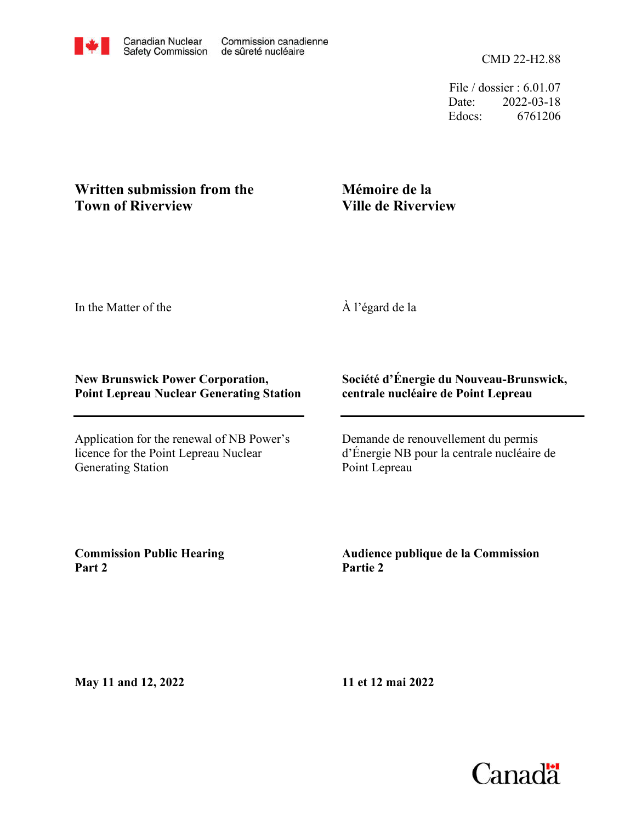File / dossier : 6.01.07 Date: 2022-03-18 Edocs: 6761206

## **Written submission from the Town of Riverview**

## **Mémoire de la Ville de Riverview**

In the Matter of the

À l'égard de la

#### **New Brunswick Power Corporation, Point Lepreau Nuclear Generating Station**

Application for the renewal of NB Power's licence for the Point Lepreau Nuclear Generating Station

### **Société d'Énergie du Nouveau-Brunswick, centrale nucléaire de Point Lepreau**

Demande de renouvellement du permis d'Énergie NB pour la centrale nucléaire de Point Lepreau

**Commission Public Hearing Part 2**

**Audience publique de la Commission Partie 2**

**May 11 and 12, 2022**

**11 et 12 mai 2022**